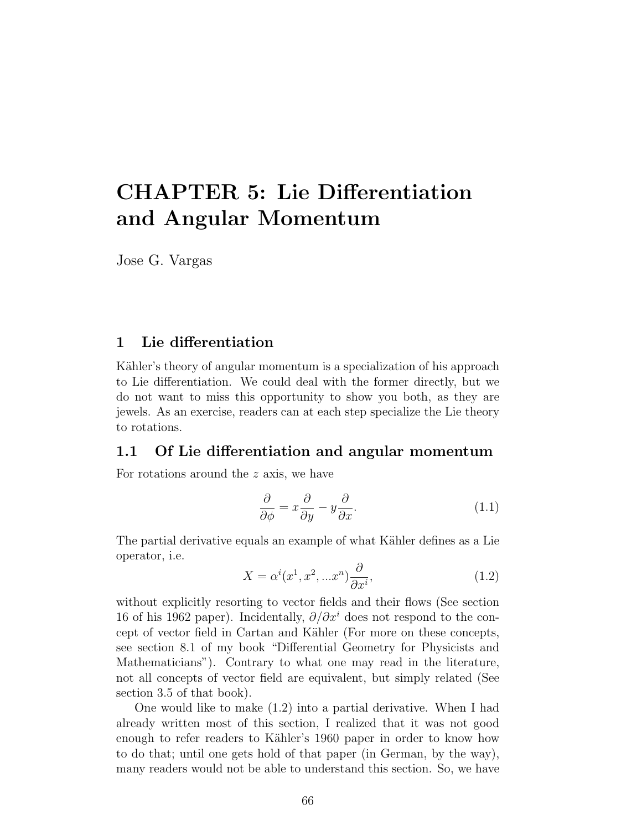# CHAPTER 5: Lie Differentiation and Angular Momentum

Jose G. Vargas

## 1 Lie differentiation

Kähler's theory of angular momentum is a specialization of his approach to Lie differentiation. We could deal with the former directly, but we do not want to miss this opportunity to show you both, as they are jewels. As an exercise, readers can at each step specialize the Lie theory to rotations.

#### 1.1 Of Lie differentiation and angular momentum

For rotations around the z axis, we have

$$
\frac{\partial}{\partial \phi} = x \frac{\partial}{\partial y} - y \frac{\partial}{\partial x}.\tag{1.1}
$$

The partial derivative equals an example of what Kähler defines as a Lie operator, i.e.

$$
X = \alpha^{i}(x^{1}, x^{2}, ... x^{n}) \frac{\partial}{\partial x^{i}},
$$
\n(1.2)

without explicitly resorting to vector fields and their flows (See section 16 of his 1962 paper). Incidentally,  $\partial/\partial x^i$  does not respond to the concept of vector field in Cartan and Kähler (For more on these concepts, see section 8.1 of my book "Differential Geometry for Physicists and Mathematicians"). Contrary to what one may read in the literature, not all concepts of vector field are equivalent, but simply related (See section 3.5 of that book).

One would like to make (1.2) into a partial derivative. When I had already written most of this section, I realized that it was not good enough to refer readers to Kähler's 1960 paper in order to know how to do that; until one gets hold of that paper (in German, by the way), many readers would not be able to understand this section. So, we have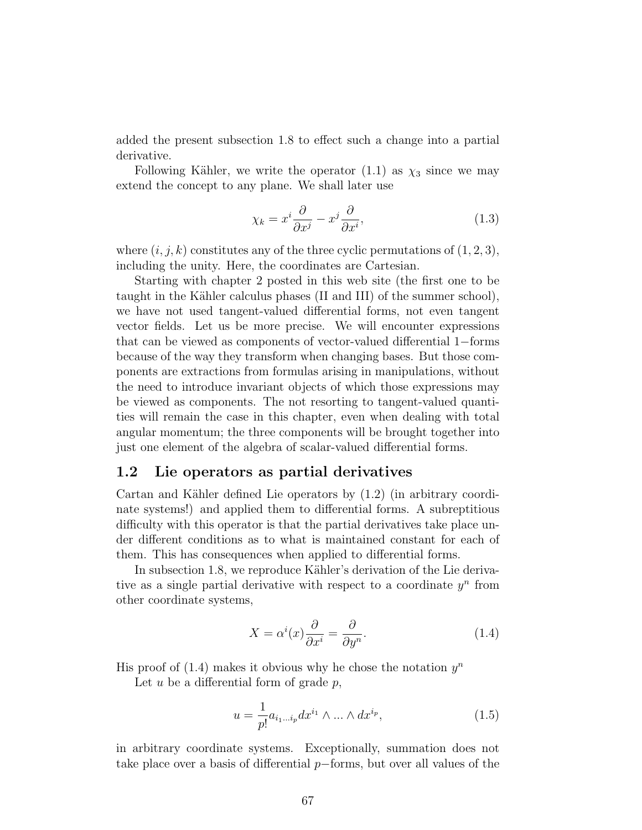added the present subsection 1.8 to effect such a change into a partial derivative.

Following Kähler, we write the operator  $(1.1)$  as  $\chi_3$  since we may extend the concept to any plane. We shall later use

$$
\chi_k = x^i \frac{\partial}{\partial x^j} - x^j \frac{\partial}{\partial x^i},\tag{1.3}
$$

where  $(i, j, k)$  constitutes any of the three cyclic permutations of  $(1, 2, 3)$ , including the unity. Here, the coordinates are Cartesian.

Starting with chapter 2 posted in this web site (the first one to be taught in the Kähler calculus phases (II and III) of the summer school), we have not used tangent-valued differential forms, not even tangent vector fields. Let us be more precise. We will encounter expressions that can be viewed as components of vector-valued differential 1−forms because of the way they transform when changing bases. But those components are extractions from formulas arising in manipulations, without the need to introduce invariant objects of which those expressions may be viewed as components. The not resorting to tangent-valued quantities will remain the case in this chapter, even when dealing with total angular momentum; the three components will be brought together into just one element of the algebra of scalar-valued differential forms.

#### 1.2 Lie operators as partial derivatives

Cartan and Kähler defined Lie operators by  $(1.2)$  (in arbitrary coordinate systems!) and applied them to differential forms. A subreptitious difficulty with this operator is that the partial derivatives take place under different conditions as to what is maintained constant for each of them. This has consequences when applied to differential forms.

In subsection 1.8, we reproduce Kähler's derivation of the Lie derivative as a single partial derivative with respect to a coordinate  $y^n$  from other coordinate systems,

$$
X = \alpha^{i}(x)\frac{\partial}{\partial x^{i}} = \frac{\partial}{\partial y^{n}}.
$$
\n(1.4)

His proof of  $(1.4)$  makes it obvious why he chose the notation  $y^n$ 

Let  $u$  be a differential form of grade  $p$ ,

$$
u = \frac{1}{p!} a_{i_1 \dots i_p} dx^{i_1} \wedge \dots \wedge dx^{i_p},
$$
\n(1.5)

in arbitrary coordinate systems. Exceptionally, summation does not take place over a basis of differential p−forms, but over all values of the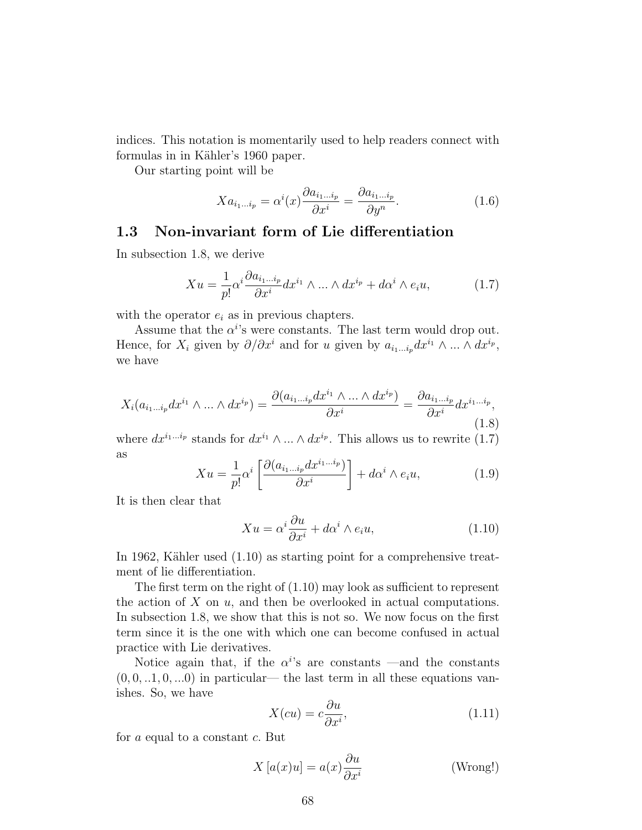indices. This notation is momentarily used to help readers connect with formulas in in Kähler's 1960 paper.

Our starting point will be

$$
Xa_{i_1...i_p} = \alpha^i(x)\frac{\partial a_{i_1...i_p}}{\partial x^i} = \frac{\partial a_{i_1...i_p}}{\partial y^n}.
$$
\n(1.6)

# 1.3 Non-invariant form of Lie differentiation

In subsection 1.8, we derive

$$
Xu = \frac{1}{p!} \alpha^i \frac{\partial a_{i_1 \dots i_p}}{\partial x^i} dx^{i_1} \wedge \dots \wedge dx^{i_p} + d\alpha^i \wedge e_i u,
$$
 (1.7)

with the operator  $e_i$  as in previous chapters.

Assume that the  $\alpha^{i}$ 's were constants. The last term would drop out. Hence, for  $X_i$  given by  $\partial/\partial x^i$  and for u given by  $a_{i_1...i_p}dx^{i_1}\wedge ... \wedge dx^{i_p}$ , we have

$$
X_i(a_{i_1\ldots i_p}dx^{i_1}\wedge\ldots\wedge dx^{i_p})=\frac{\partial(a_{i_1\ldots i_p}dx^{i_1}\wedge\ldots\wedge dx^{i_p})}{\partial x^i}=\frac{\partial a_{i_1\ldots i_p}}{\partial x^i}dx^{i_1\ldots i_p},\tag{1.8}
$$

where  $dx^{i_1...i_p}$  stands for  $dx^{i_1} \wedge ... \wedge dx^{i_p}$ . This allows us to rewrite (1.7) as

$$
Xu = \frac{1}{p!} \alpha^i \left[ \frac{\partial (a_{i_1 \dots i_p} dx^{i_1 \dots i_p})}{\partial x^i} \right] + d\alpha^i \wedge e_i u,
$$
 (1.9)

It is then clear that

$$
Xu = \alpha^i \frac{\partial u}{\partial x^i} + d\alpha^i \wedge e_i u,\tag{1.10}
$$

In 1962, Kähler used  $(1.10)$  as starting point for a comprehensive treatment of lie differentiation.

The first term on the right of (1.10) may look as sufficient to represent the action of  $X$  on  $u$ , and then be overlooked in actual computations. In subsection 1.8, we show that this is not so. We now focus on the first term since it is the one with which one can become confused in actual practice with Lie derivatives.

Notice again that, if the  $\alpha^{i}$ 's are constants —and the constants  $(0, 0, \ldots, 1, 0, \ldots, 0)$  in particular— the last term in all these equations vanishes. So, we have

$$
X(cu) = c\frac{\partial u}{\partial x^i},\tag{1.11}
$$

for a equal to a constant c. But

$$
X\left[a(x)u\right] = a(x)\frac{\partial u}{\partial x^i} \tag{Wrong!}
$$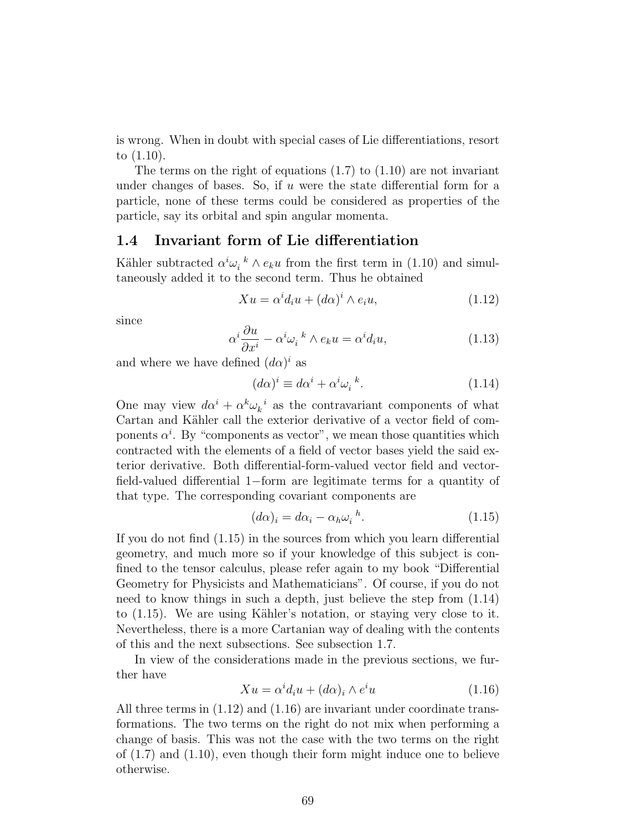is wrong. When in doubt with special cases of Lie differentiations, resort to (1.10).

The terms on the right of equations (1.7) to (1.10) are not invariant under changes of bases. So, if  $u$  were the state differential form for a particle, none of these terms could be considered as properties of the particle, say its orbital and spin angular momenta.

# 1.4 Invariant form of Lie differentiation

Kähler subtracted  $\alpha^i \omega_i^k \wedge e_k u$  from the first term in (1.10) and simultaneously added it to the second term. Thus he obtained

$$
Xu = \alpha^i d_i u + (d\alpha)^i \wedge e_i u, \qquad (1.12)
$$

since

$$
\alpha^i \frac{\partial u}{\partial x^i} - \alpha^i \omega_i{}^k \wedge e_k u = \alpha^i d_i u,\tag{1.13}
$$

and where we have defined  $(d\alpha)^i$  as

$$
(d\alpha)^i \equiv d\alpha^i + \alpha^i \omega_i^k. \tag{1.14}
$$

One may view  $d\alpha^i + \alpha^k \omega_k^i$  as the contravariant components of what Cartan and Kähler call the exterior derivative of a vector field of components  $\alpha^i$ . By "components as vector", we mean those quantities which contracted with the elements of a field of vector bases yield the said exterior derivative. Both differential-form-valued vector field and vectorfield-valued differential 1−form are legitimate terms for a quantity of that type. The corresponding covariant components are

$$
(d\alpha)_i = d\alpha_i - \alpha_h \omega_i^{\ b}.
$$
\n(1.15)

If you do not find (1.15) in the sources from which you learn differential geometry, and much more so if your knowledge of this subject is confined to the tensor calculus, please refer again to my book "Differential Geometry for Physicists and Mathematicians". Of course, if you do not need to know things in such a depth, just believe the step from (1.14) to  $(1.15)$ . We are using Kähler's notation, or staying very close to it. Nevertheless, there is a more Cartanian way of dealing with the contents of this and the next subsections. See subsection 1.7.

In view of the considerations made in the previous sections, we further have

$$
Xu = \alpha^i d_i u + (d\alpha)_i \wedge e^i u \tag{1.16}
$$

All three terms in  $(1.12)$  and  $(1.16)$  are invariant under coordinate transformations. The two terms on the right do not mix when performing a change of basis. This was not the case with the two terms on the right of (1.7) and (1.10), even though their form might induce one to believe otherwise.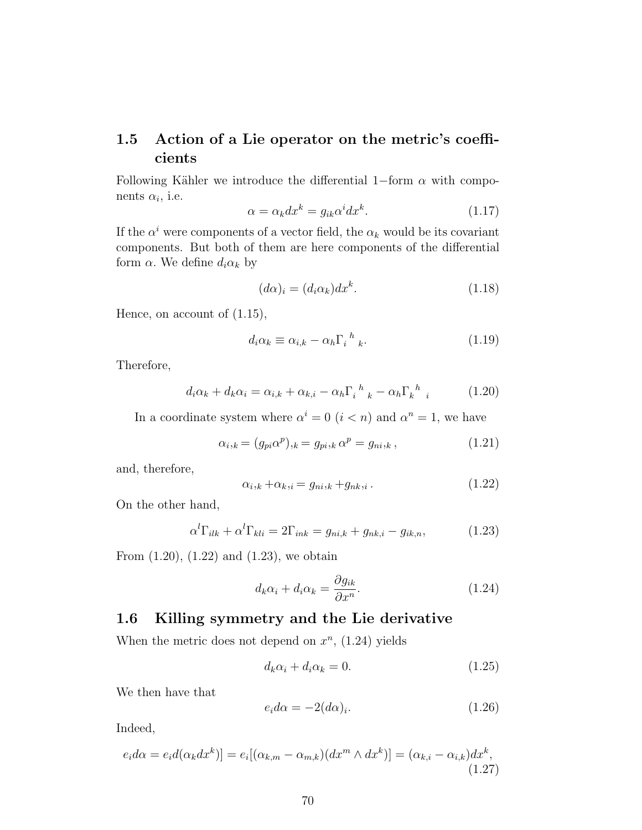# 1.5 Action of a Lie operator on the metric's coefficients

Following Kähler we introduce the differential 1–form  $\alpha$  with components  $\alpha_i$ , i.e.

$$
\alpha = \alpha_k dx^k = g_{ik}\alpha^i dx^k. \tag{1.17}
$$

If the  $\alpha^i$  were components of a vector field, the  $\alpha_k$  would be its covariant components. But both of them are here components of the differential form  $\alpha$ . We define  $d_i \alpha_k$  by

$$
(d\alpha)_i = (d_i \alpha_k) dx^k. \tag{1.18}
$$

Hence, on account of (1.15),

$$
d_i \alpha_k \equiv \alpha_{i,k} - \alpha_h \Gamma_i^{\ h}{}_{k}. \tag{1.19}
$$

Therefore,

$$
d_i \alpha_k + d_k \alpha_i = \alpha_{i,k} + \alpha_{k,i} - \alpha_h \Gamma_i^{\ h}{}_{k} - \alpha_h \Gamma_k^{\ h}{}_{i} \tag{1.20}
$$

In a coordinate system where  $\alpha^i = 0$   $(i < n)$  and  $\alpha^n = 1$ , we have

$$
\alpha_{i,k} = (g_{pi}\alpha^p)_{,k} = g_{pi,k}\alpha^p = g_{ni,k},\qquad(1.21)
$$

and, therefore,

$$
\alpha_{i,k} + \alpha_{k,i} = g_{ni,k} + g_{nk,i} \tag{1.22}
$$

On the other hand,

$$
\alpha^l \Gamma_{ilk} + \alpha^l \Gamma_{kli} = 2\Gamma_{ink} = g_{ni,k} + g_{nk,i} - g_{ik,n}, \qquad (1.23)
$$

From  $(1.20)$ ,  $(1.22)$  and  $(1.23)$ , we obtain

$$
d_k \alpha_i + d_i \alpha_k = \frac{\partial g_{ik}}{\partial x^n}.
$$
\n(1.24)

## 1.6 Killing symmetry and the Lie derivative

When the metric does not depend on  $x^n$ , (1.24) yields

$$
d_k \alpha_i + d_i \alpha_k = 0. \tag{1.25}
$$

We then have that

$$
e_i d\alpha = -2(d\alpha)_i. \tag{1.26}
$$

Indeed,

$$
e_i d\alpha = e_i d(\alpha_k dx^k)] = e_i[(\alpha_{k,m} - \alpha_{m,k})(dx^m \wedge dx^k)] = (\alpha_{k,i} - \alpha_{i,k})dx^k,
$$
\n(1.27)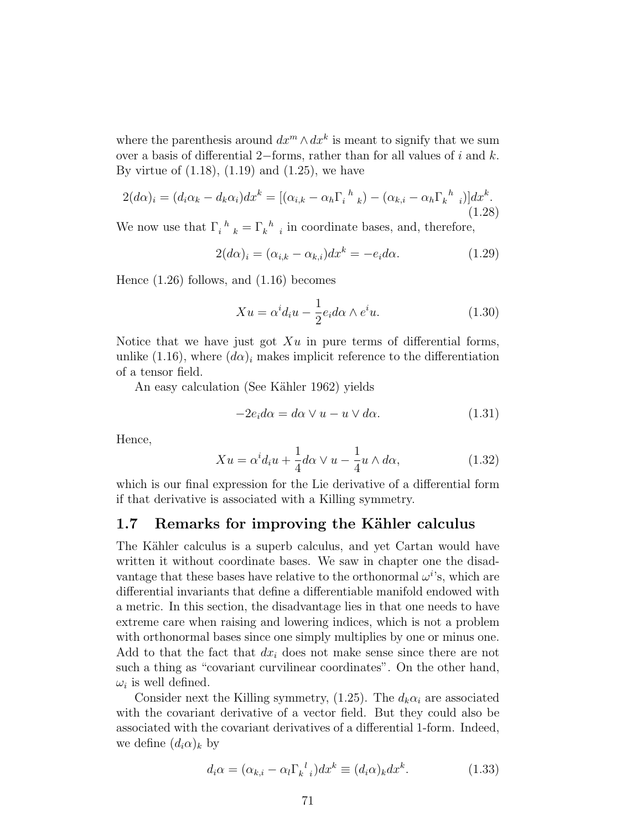where the parenthesis around  $dx^m \wedge dx^k$  is meant to signify that we sum over a basis of differential 2−forms, rather than for all values of  $i$  and  $k$ . By virtue of (1.18), (1.19) and (1.25), we have

$$
2(d\alpha)_i = (d_i \alpha_k - d_k \alpha_i) dx^k = [(\alpha_{i,k} - \alpha_h \Gamma_i{}^h{}_k) - (\alpha_{k,i} - \alpha_h \Gamma_k{}^h{}_i)] dx^k.
$$
\n(1.28)

We now use that  $\Gamma_i^h{}_k = \Gamma_k^h{}_i$  in coordinate bases, and, therefore,

$$
2(d\alpha)_i = (\alpha_{i,k} - \alpha_{k,i})dx^k = -e_i d\alpha.
$$
 (1.29)

Hence (1.26) follows, and (1.16) becomes

$$
Xu = \alpha^{i} d_{i}u - \frac{1}{2} e_{i} d\alpha \wedge e^{i}u.
$$
 (1.30)

Notice that we have just got  $Xu$  in pure terms of differential forms, unlike (1.16), where  $(d\alpha)_i$  makes implicit reference to the differentiation of a tensor field.

An easy calculation (See Kähler 1962) yields

$$
-2e_i d\alpha = d\alpha \vee u - u \vee d\alpha.
$$
 (1.31)

Hence,

$$
Xu = \alpha^i d_i u + \frac{1}{4} d\alpha \vee u - \frac{1}{4} u \wedge d\alpha, \qquad (1.32)
$$

which is our final expression for the Lie derivative of a differential form if that derivative is associated with a Killing symmetry.

# 1.7 Remarks for improving the Kähler calculus

The Kähler calculus is a superb calculus, and yet Cartan would have written it without coordinate bases. We saw in chapter one the disadvantage that these bases have relative to the orthonormal  $\omega^{i}$ 's, which are differential invariants that define a differentiable manifold endowed with a metric. In this section, the disadvantage lies in that one needs to have extreme care when raising and lowering indices, which is not a problem with orthonormal bases since one simply multiplies by one or minus one. Add to that the fact that  $dx_i$  does not make sense since there are not such a thing as "covariant curvilinear coordinates". On the other hand,  $\omega_i$  is well defined.

Consider next the Killing symmetry, (1.25). The  $d_k \alpha_i$  are associated with the covariant derivative of a vector field. But they could also be associated with the covariant derivatives of a differential 1-form. Indeed, we define  $(d_i\alpha)_k$  by

$$
d_i \alpha = (\alpha_{k,i} - \alpha_l \Gamma_{k}^{\ \ l} ) dx^k \equiv (d_i \alpha)_k dx^k. \tag{1.33}
$$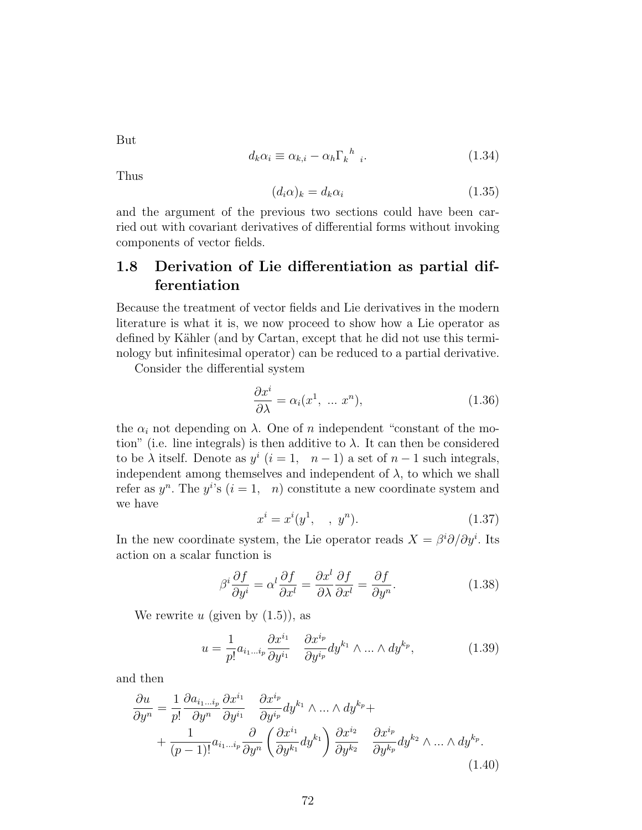But

$$
d_k \alpha_i \equiv \alpha_{k,i} - \alpha_h \Gamma_k^{\ h} \quad (1.34)
$$

Thus

$$
(d_i \alpha)_k = d_k \alpha_i \tag{1.35}
$$

and the argument of the previous two sections could have been carried out with covariant derivatives of differential forms without invoking components of vector fields.

# 1.8 Derivation of Lie differentiation as partial differentiation

Because the treatment of vector fields and Lie derivatives in the modern literature is what it is, we now proceed to show how a Lie operator as defined by Kähler (and by Cartan, except that he did not use this terminology but infinitesimal operator) can be reduced to a partial derivative.

Consider the differential system

$$
\frac{\partial x^i}{\partial \lambda} = \alpha_i(x^1, \dots x^n), \tag{1.36}
$$

the  $\alpha_i$  not depending on  $\lambda$ . One of n independent "constant of the motion" (i.e. line integrals) is then additive to  $\lambda$ . It can then be considered to be  $\lambda$  itself. Denote as  $y^i$   $(i = 1, n - 1)$  a set of  $n - 1$  such integrals, independent among themselves and independent of  $\lambda$ , to which we shall refer as  $y^n$ . The  $y^{i}$ 's  $(i = 1, n)$  constitute a new coordinate system and we have

$$
x^{i} = x^{i}(y^{1}, \quad , y^{n}). \tag{1.37}
$$

In the new coordinate system, the Lie operator reads  $X = \beta^i \partial/\partial y^i$ . Its action on a scalar function is

$$
\beta^i \frac{\partial f}{\partial y^i} = \alpha^l \frac{\partial f}{\partial x^l} = \frac{\partial x^l}{\partial \lambda} \frac{\partial f}{\partial x^l} = \frac{\partial f}{\partial y^n}.
$$
 (1.38)

We rewrite u (given by  $(1.5)$ ), as

$$
u = \frac{1}{p!} a_{i_1 \dots i_p} \frac{\partial x^{i_1}}{\partial y^{i_1}} \quad \frac{\partial x^{i_p}}{\partial y^{i_p}} dy^{k_1} \wedge \dots \wedge dy^{k_p},\tag{1.39}
$$

and then

$$
\frac{\partial u}{\partial y^n} = \frac{1}{p!} \frac{\partial a_{i_1 \dots i_p}}{\partial y^n} \frac{\partial x^{i_1}}{\partial y^{i_1}} \frac{\partial x^{i_p}}{\partial y^{i_p}} dy^{k_1} \wedge \dots \wedge dy^{k_p} + \frac{1}{(p-1)!} a_{i_1 \dots i_p} \frac{\partial}{\partial y^n} \left( \frac{\partial x^{i_1}}{\partial y^{k_1}} dy^{k_1} \right) \frac{\partial x^{i_2}}{\partial y^{k_2}} \frac{\partial x^{i_p}}{\partial y^{k_p}} dy^{k_2} \wedge \dots \wedge dy^{k_p}.
$$
\n(1.40)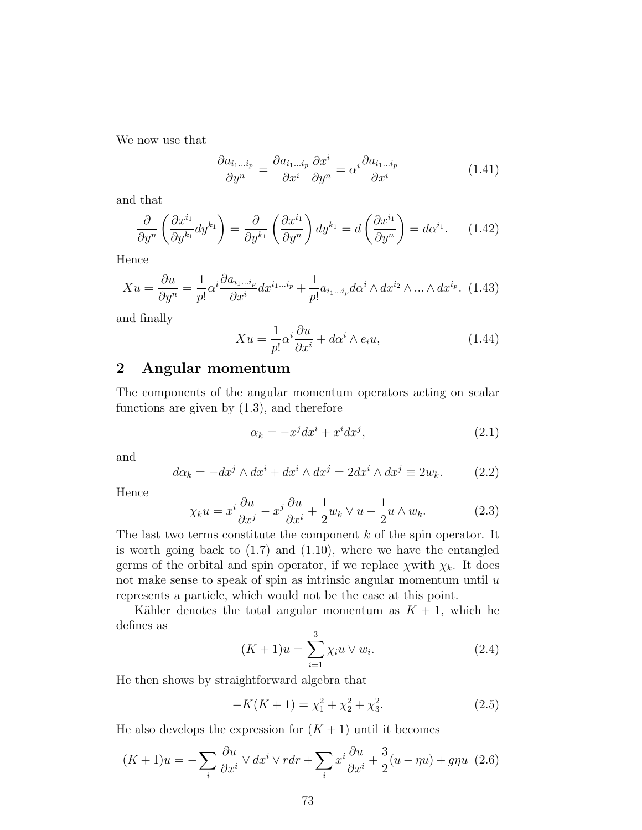We now use that

$$
\frac{\partial a_{i_1\ldots i_p}}{\partial y^n} = \frac{\partial a_{i_1\ldots i_p}}{\partial x^i} \frac{\partial x^i}{\partial y^n} = \alpha^i \frac{\partial a_{i_1\ldots i_p}}{\partial x^i}
$$
(1.41)

and that

$$
\frac{\partial}{\partial y^n} \left( \frac{\partial x^{i_1}}{\partial y^{k_1}} dy^{k_1} \right) = \frac{\partial}{\partial y^{k_1}} \left( \frac{\partial x^{i_1}}{\partial y^n} \right) dy^{k_1} = d \left( \frac{\partial x^{i_1}}{\partial y^n} \right) = d \alpha^{i_1}.
$$
 (1.42)

Hence

$$
Xu = \frac{\partial u}{\partial y^n} = \frac{1}{p!} \alpha^i \frac{\partial a_{i_1 \dots i_p}}{\partial x^i} dx^{i_1 \dots i_p} + \frac{1}{p!} a_{i_1 \dots i_p} d\alpha^i \wedge dx^{i_2} \wedge \dots \wedge dx^{i_p}.
$$
 (1.43)

and finally

$$
Xu = \frac{1}{p!} \alpha^i \frac{\partial u}{\partial x^i} + d\alpha^i \wedge e_i u,
$$
\n(1.44)

## 2 Angular momentum

The components of the angular momentum operators acting on scalar functions are given by (1.3), and therefore

$$
\alpha_k = -x^j dx^i + x^i dx^j,\tag{2.1}
$$

and

$$
d\alpha_k = -dx^j \wedge dx^i + dx^i \wedge dx^j = 2dx^i \wedge dx^j \equiv 2w_k. \tag{2.2}
$$

Hence

$$
\chi_k u = x^i \frac{\partial u}{\partial x^j} - x^j \frac{\partial u}{\partial x^i} + \frac{1}{2} w_k \vee u - \frac{1}{2} u \wedge w_k. \tag{2.3}
$$

The last two terms constitute the component  $k$  of the spin operator. It is worth going back to  $(1.7)$  and  $(1.10)$ , where we have the entangled germs of the orbital and spin operator, if we replace  $\chi$  with  $\chi_k$ . It does not make sense to speak of spin as intrinsic angular momentum until  $u$ represents a particle, which would not be the case at this point.

Kähler denotes the total angular momentum as  $K + 1$ , which he defines as

$$
(K+1)u = \sum_{i=1}^{3} \chi_i u \vee w_i.
$$
 (2.4)

He then shows by straightforward algebra that

$$
-K(K+1) = \chi_1^2 + \chi_2^2 + \chi_3^2. \tag{2.5}
$$

He also develops the expression for  $(K + 1)$  until it becomes

$$
(K+1)u = -\sum_{i} \frac{\partial u}{\partial x^{i}} \vee dx^{i} \vee rdr + \sum_{i} x^{i} \frac{\partial u}{\partial x^{i}} + \frac{3}{2}(u - \eta u) + g\eta u \tag{2.6}
$$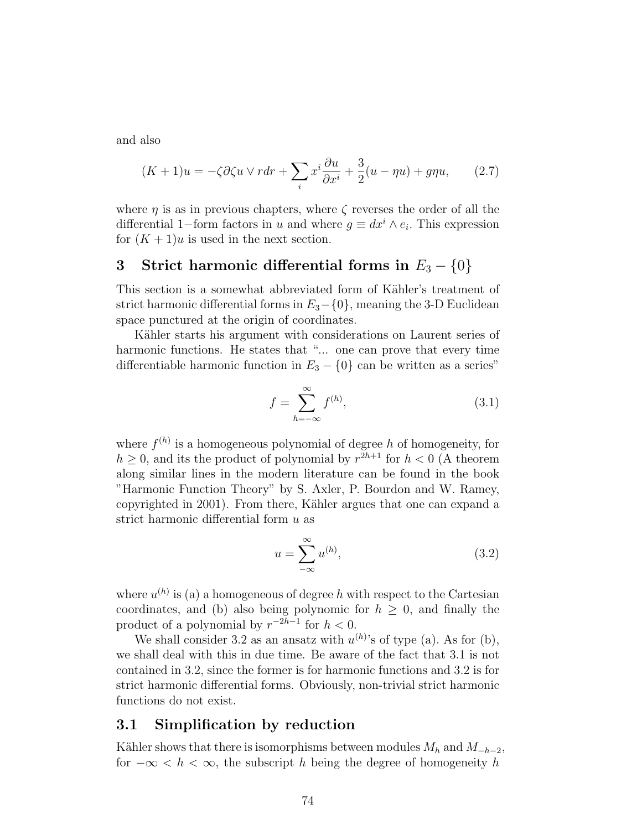and also

$$
(K+1)u = -\zeta \partial \zeta u \vee r dr + \sum_{i} x^{i} \frac{\partial u}{\partial x^{i}} + \frac{3}{2} (u - \eta u) + g \eta u, \qquad (2.7)
$$

where  $\eta$  is as in previous chapters, where  $\zeta$  reverses the order of all the differential 1–form factors in u and where  $g \equiv dx^i \wedge e_i$ . This expression for  $(K + 1)u$  is used in the next section.

# 3 Strict harmonic differential forms in  $E_3 - \{0\}$

This section is a somewhat abbreviated form of Kähler's treatment of strict harmonic differential forms in  $E_3-\{0\}$ , meaning the 3-D Euclidean space punctured at the origin of coordinates.

Kähler starts his argument with considerations on Laurent series of harmonic functions. He states that "... one can prove that every time differentiable harmonic function in  $E_3 - \{0\}$  can be written as a series"

$$
f = \sum_{h = -\infty}^{\infty} f^{(h)},\tag{3.1}
$$

where  $f^{(h)}$  is a homogeneous polynomial of degree h of homogeneity, for  $h \geq 0$ , and its the product of polynomial by  $r^{2h+1}$  for  $h < 0$  (A theorem along similar lines in the modern literature can be found in the book "Harmonic Function Theory" by S. Axler, P. Bourdon and W. Ramey, copyrighted in 2001). From there, Kähler argues that one can expand a strict harmonic differential form u as

$$
u = \sum_{-\infty}^{\infty} u^{(h)},\tag{3.2}
$$

where  $u^{(h)}$  is (a) a homogeneous of degree h with respect to the Cartesian coordinates, and (b) also being polynomic for  $h \geq 0$ , and finally the product of a polynomial by  $r^{-2h-1}$  for  $h < 0$ .

We shall consider 3.2 as an ansatz with  $u^{(h)}$ 's of type (a). As for (b), we shall deal with this in due time. Be aware of the fact that 3.1 is not contained in 3.2, since the former is for harmonic functions and 3.2 is for strict harmonic differential forms. Obviously, non-trivial strict harmonic functions do not exist.

#### 3.1 Simplification by reduction

Kähler shows that there is isomorphisms between modules  $M_h$  and  $M_{-h-2}$ , for  $-\infty < h < \infty$ , the subscript h being the degree of homogeneity h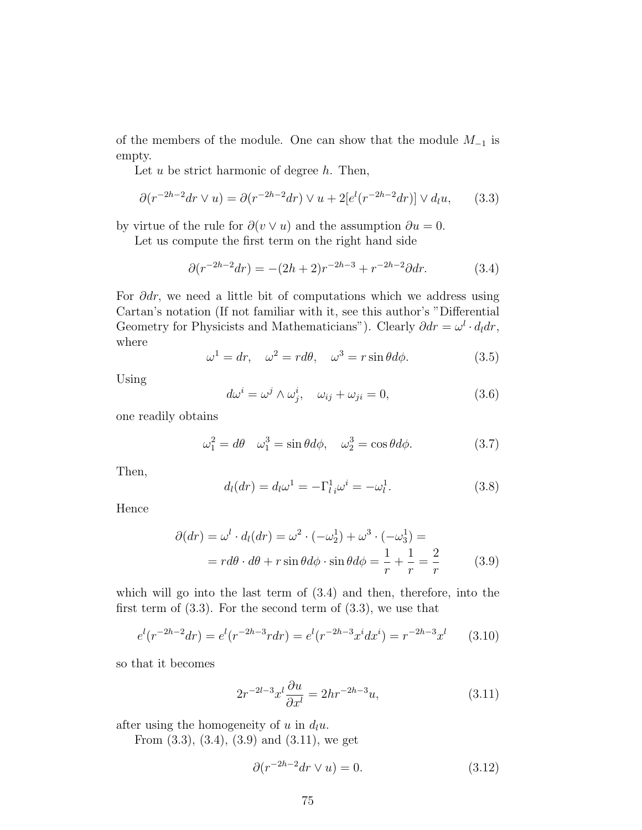of the members of the module. One can show that the module  $M_{-1}$  is empty.

Let  $u$  be strict harmonic of degree  $h$ . Then,

$$
\partial(r^{-2h-2}dr \vee u) = \partial(r^{-2h-2}dr) \vee u + 2[e^l(r^{-2h-2}dr)] \vee d_l u,\qquad(3.3)
$$

by virtue of the rule for  $\partial(v \vee u)$  and the assumption  $\partial u = 0$ .

Let us compute the first term on the right hand side

$$
\partial(r^{-2h-2}dr) = -(2h+2)r^{-2h-3} + r^{-2h-2}\partial dr.
$$
 (3.4)

For  $\partial dr$ , we need a little bit of computations which we address using Cartan's notation (If not familiar with it, see this author's "Differential Geometry for Physicists and Mathematicians"). Clearly  $\partial dr = \omega^l \cdot d_l dr$ , where

$$
\omega^1 = dr, \quad \omega^2 = r d\theta, \quad \omega^3 = r \sin \theta d\phi. \tag{3.5}
$$

Using

$$
d\omega^{i} = \omega^{j} \wedge \omega_{j}^{i}, \quad \omega_{ij} + \omega_{ji} = 0, \tag{3.6}
$$

one readily obtains

$$
\omega_1^2 = d\theta \quad \omega_1^3 = \sin\theta d\phi, \quad \omega_2^3 = \cos\theta d\phi. \tag{3.7}
$$

Then,

$$
d_l(dr) = d_l\omega^1 = -\Gamma^1_{l\,i}\omega^i = -\omega^1_{l}.
$$
\n(3.8)

Hence

$$
\partial(dr) = \omega^l \cdot d_l(dr) = \omega^2 \cdot (-\omega_2^1) + \omega^3 \cdot (-\omega_3^1) =
$$
  
=  $rd\theta \cdot d\theta + r \sin\theta d\phi \cdot \sin\theta d\phi = \frac{1}{r} + \frac{1}{r} = \frac{2}{r}$  (3.9)

which will go into the last term of (3.4) and then, therefore, into the first term of  $(3.3)$ . For the second term of  $(3.3)$ , we use that

$$
e^{l}(r^{-2h-2}dr) = e^{l}(r^{-2h-3}rdr) = e^{l}(r^{-2h-3}x^{i}dx^{i}) = r^{-2h-3}x^{l}
$$
 (3.10)

so that it becomes

$$
2r^{-2l-3}x^l\frac{\partial u}{\partial x^l} = 2hr^{-2h-3}u,\tag{3.11}
$$

after using the homogeneity of u in  $d_l u$ .

From (3.3), (3.4), (3.9) and (3.11), we get

$$
\partial(r^{-2h-2}dr \vee u) = 0. \tag{3.12}
$$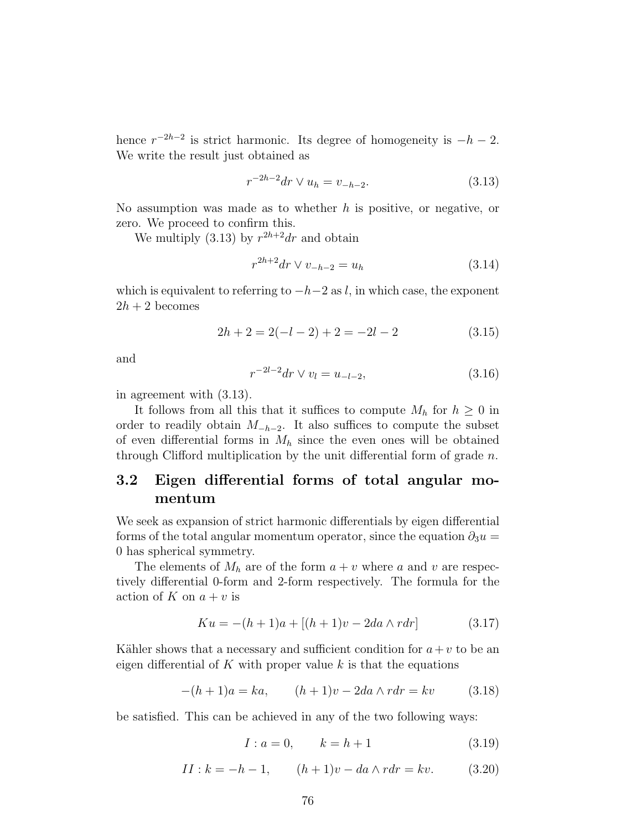hence  $r^{-2h-2}$  is strict harmonic. Its degree of homogeneity is  $-h-2$ . We write the result just obtained as

$$
r^{-2h-2}dr \vee u_h = v_{-h-2}.\tag{3.13}
$$

No assumption was made as to whether  $h$  is positive, or negative, or zero. We proceed to confirm this.

We multiply (3.13) by  $r^{2h+2}dr$  and obtain

$$
r^{2h+2}dr \vee v_{-h-2} = u_h \tag{3.14}
$$

which is equivalent to referring to  $-h-2$  as l, in which case, the exponent  $2h + 2$  becomes

$$
2h + 2 = 2(-l - 2) + 2 = -2l - 2
$$
\n(3.15)

and

$$
r^{-2l-2}dr \vee v_l = u_{-l-2},\tag{3.16}
$$

in agreement with (3.13).

It follows from all this that it suffices to compute  $M_h$  for  $h \geq 0$  in order to readily obtain  $M_{-h-2}$ . It also suffices to compute the subset of even differential forms in  $M_h$  since the even ones will be obtained through Clifford multiplication by the unit differential form of grade  $n$ .

# 3.2 Eigen differential forms of total angular momentum

We seek as expansion of strict harmonic differentials by eigen differential forms of the total angular momentum operator, since the equation  $\partial_3 u =$ 0 has spherical symmetry.

The elements of  $M_h$  are of the form  $a + v$  where a and v are respectively differential 0-form and 2-form respectively. The formula for the action of K on  $a + v$  is

$$
Ku = -(h+1)a + [(h+1)v - 2da \wedge rdr] \qquad (3.17)
$$

Kähler shows that a necessary and sufficient condition for  $a+v$  to be an eigen differential of K with proper value  $k$  is that the equations

$$
-(h+1)a = ka, \qquad (h+1)v - 2da \wedge rdr = kv \qquad (3.18)
$$

be satisfied. This can be achieved in any of the two following ways:

$$
I: a = 0, \qquad k = h + 1 \tag{3.19}
$$

$$
II : k = -h - 1, \t (h + 1)v - da \wedge r dr = kv.
$$
 (3.20)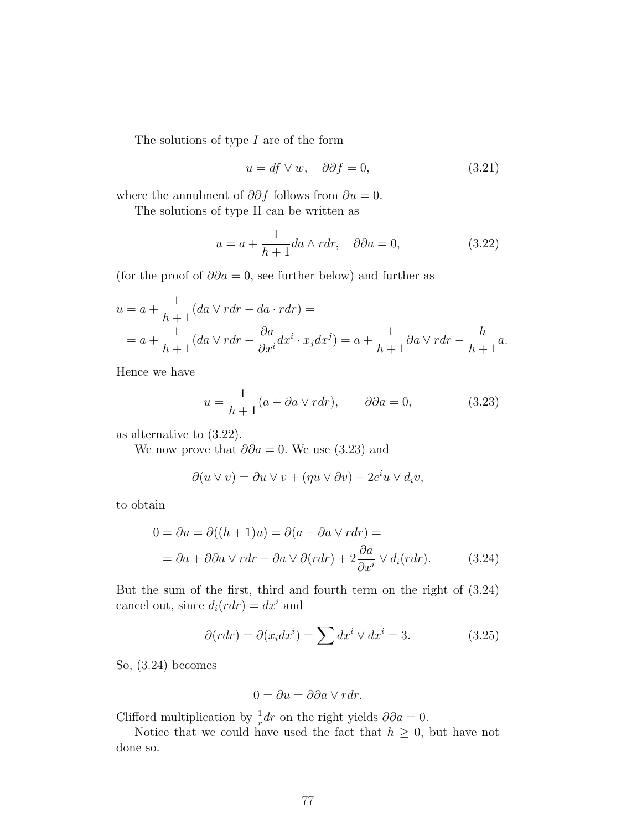The solutions of type I are of the form

$$
u = df \vee w, \quad \partial \partial f = 0,
$$
\n(3.21)

where the annulment of  $\partial \partial f$  follows from  $\partial u = 0$ .

The solutions of type II can be written as

$$
u = a + \frac{1}{h+1} da \wedge r dr, \quad \partial \partial a = 0,
$$
\n(3.22)

(for the proof of  $\partial \partial a = 0$ , see further below) and further as

$$
u = a + \frac{1}{h+1}(da \vee rdr - da \cdot rdr) =
$$
  
=  $a + \frac{1}{h+1}(da \vee rdr - \frac{\partial a}{\partial x^i}dx^i \cdot x_j dx^j) = a + \frac{1}{h+1}\partial a \vee rdr - \frac{h}{h+1}a.$ 

Hence we have

$$
u = \frac{1}{h+1}(a + \partial a \vee r dr), \qquad \partial \partial a = 0,
$$
 (3.23)

as alternative to (3.22).

We now prove that  $\partial \partial a = 0$ . We use (3.23) and

$$
\partial(u \vee v) = \partial u \vee v + (\eta u \vee \partial v) + 2e^i u \vee d_i v,
$$

to obtain

$$
0 = \partial u = \partial((h+1)u) = \partial(a + \partial a \vee r dr) =
$$
  
=  $\partial a + \partial \partial a \vee r dr - \partial a \vee \partial(r dr) + 2 \frac{\partial a}{\partial x^i} \vee d_i(r dr).$  (3.24)

But the sum of the first, third and fourth term on the right of (3.24) cancel out, since  $d_i(rdr) = dx^i$  and

$$
\partial(rdr) = \partial(x_i dx^i) = \sum dx^i \vee dx^i = 3. \tag{3.25}
$$

So, (3.24) becomes

$$
0 = \partial u = \partial \partial a \vee r dr.
$$

Clifford multiplication by  $\frac{1}{r}dr$  on the right yields  $\partial \partial a = 0$ .

Notice that we could have used the fact that  $h \geq 0$ , but have not done so.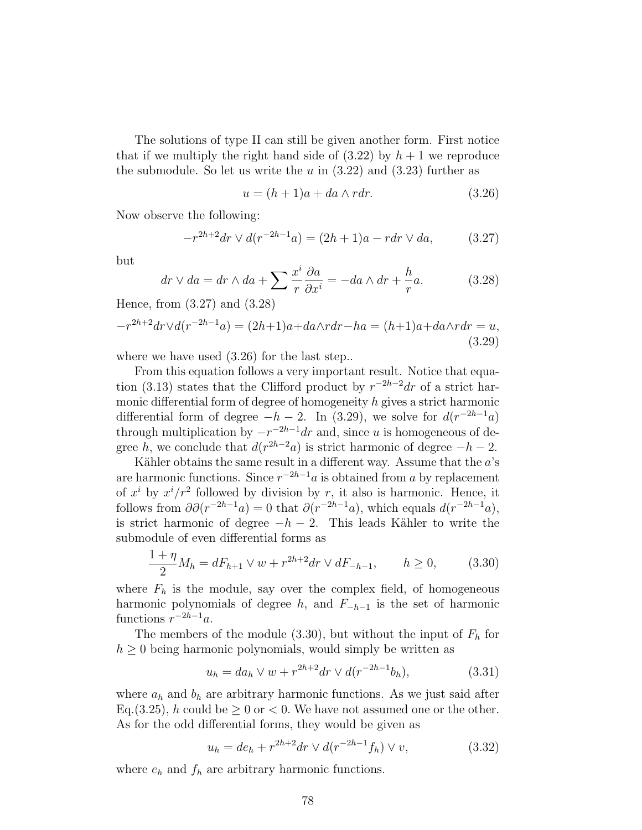The solutions of type II can still be given another form. First notice that if we multiply the right hand side of  $(3.22)$  by  $h+1$  we reproduce the submodule. So let us write the u in  $(3.22)$  and  $(3.23)$  further as

$$
u = (h+1)a + da \wedge rdr. \tag{3.26}
$$

Now observe the following:

$$
-r^{2h+2}dr \vee d(r^{-2h-1}a) = (2h+1)a - rdr \vee da, \qquad (3.27)
$$

but

$$
dr \vee da = dr \wedge da + \sum \frac{x^i}{r} \frac{\partial a}{\partial x^i} = -da \wedge dr + \frac{h}{r}a. \tag{3.28}
$$

Hence, from (3.27) and (3.28)

$$
-r^{2h+2}dr \vee d(r^{-2h-1}a) = (2h+1)a + da \wedge rdr - ha = (h+1)a + da \wedge rdr = u,
$$
\n(3.29)

where we have used  $(3.26)$  for the last step..

From this equation follows a very important result. Notice that equation (3.13) states that the Clifford product by  $r^{-2h-2}dr$  of a strict harmonic differential form of degree of homogeneity  $h$  gives a strict harmonic differential form of degree  $-h-2$ . In (3.29), we solve for  $d(r^{-2h-1}a)$ through multiplication by  $-r^{-2h-1}dr$  and, since u is homogeneous of degree h, we conclude that  $d(r^{2h-2}a)$  is strict harmonic of degree  $-h-2$ .

Kähler obtains the same result in a different way. Assume that the  $a$ 's are harmonic functions. Since  $r^{-2h-1}a$  is obtained from a by replacement of  $x^i$  by  $x^i/r^2$  followed by division by r, it also is harmonic. Hence, it follows from  $\partial \partial (r^{-2h-1}a) = 0$  that  $\partial (r^{-2h-1}a)$ , which equals  $d(r^{-2h-1}a)$ , is strict harmonic of degree  $-h-2$ . This leads Kähler to write the submodule of even differential forms as

$$
\frac{1+\eta}{2}M_h = dF_{h+1} \vee w + r^{2h+2} dr \vee dF_{-h-1}, \qquad h \ge 0,
$$
 (3.30)

where  $F_h$  is the module, say over the complex field, of homogeneous harmonic polynomials of degree h, and  $F_{-h-1}$  is the set of harmonic functions  $r^{-2h-1}a$ .

The members of the module  $(3.30)$ , but without the input of  $F<sub>h</sub>$  for  $h \geq 0$  being harmonic polynomials, would simply be written as

$$
u_h = da_h \vee w + r^{2h+2} dr \vee d(r^{-2h-1}b_h), \tag{3.31}
$$

where  $a_h$  and  $b_h$  are arbitrary harmonic functions. As we just said after Eq. (3.25), h could be  $\geq 0$  or  $< 0$ . We have not assumed one or the other. As for the odd differential forms, they would be given as

$$
u_h = de_h + r^{2h+2} dr \vee d(r^{-2h-1} f_h) \vee v,
$$
\n(3.32)

where  $e_h$  and  $f_h$  are arbitrary harmonic functions.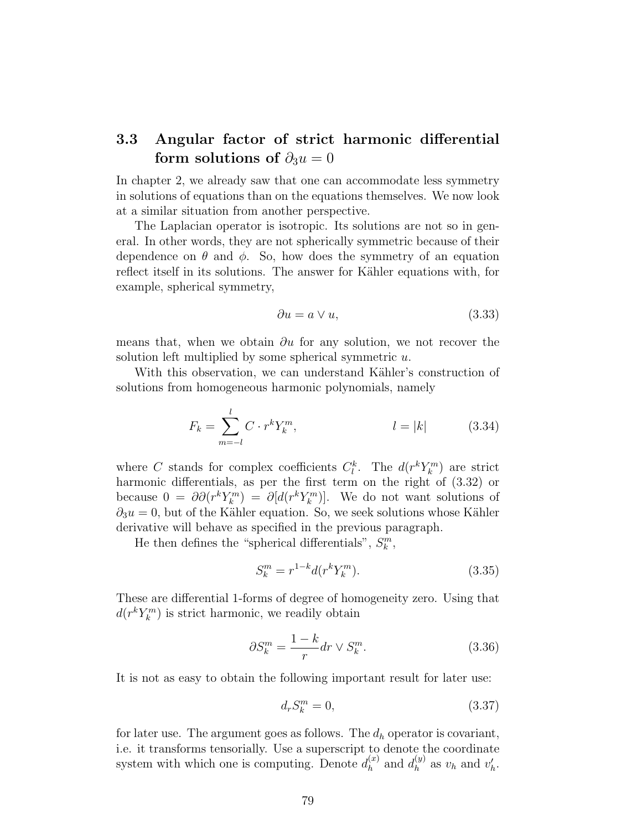# 3.3 Angular factor of strict harmonic differential form solutions of  $\partial_3 u = 0$

In chapter 2, we already saw that one can accommodate less symmetry in solutions of equations than on the equations themselves. We now look at a similar situation from another perspective.

The Laplacian operator is isotropic. Its solutions are not so in general. In other words, they are not spherically symmetric because of their dependence on  $\theta$  and  $\phi$ . So, how does the symmetry of an equation reflect itself in its solutions. The answer for Kähler equations with, for example, spherical symmetry,

$$
\partial u = a \lor u,\tag{3.33}
$$

means that, when we obtain  $\partial u$  for any solution, we not recover the solution left multiplied by some spherical symmetric  $u$ .

With this observation, we can understand Kähler's construction of solutions from homogeneous harmonic polynomials, namely

$$
F_k = \sum_{m=-l}^{l} C \cdot r^k Y_k^m, \qquad l = |k| \qquad (3.34)
$$

where C stands for complex coefficients  $C_l^k$ . The  $d(r^k Y_k^m)$  are strict harmonic differentials, as per the first term on the right of (3.32) or because  $0 = \partial \partial (r^k Y_k^m) = \partial [d(r^k Y_k^m)]$ . We do not want solutions of  $\partial_3 u = 0$ , but of the Kähler equation. So, we seek solutions whose Kähler derivative will behave as specified in the previous paragraph.

He then defines the "spherical differentials",  $S_k^m$ ,

$$
S_k^m = r^{1-k} d(r^k Y_k^m). \tag{3.35}
$$

These are differential 1-forms of degree of homogeneity zero. Using that  $d(r^k Y_k^m)$  is strict harmonic, we readily obtain

$$
\partial S_k^m = \frac{1-k}{r} dr \vee S_k^m. \tag{3.36}
$$

It is not as easy to obtain the following important result for later use:

$$
d_r S_k^m = 0,\t\t(3.37)
$$

for later use. The argument goes as follows. The  $d_h$  operator is covariant, i.e. it transforms tensorially. Use a superscript to denote the coordinate system with which one is computing. Denote  $d_h^{(x)}$  $\binom{x}{h}$  and  $d_h^{(y)}$  $v_h^{(y)}$  as  $v_h$  and  $v_h'$ .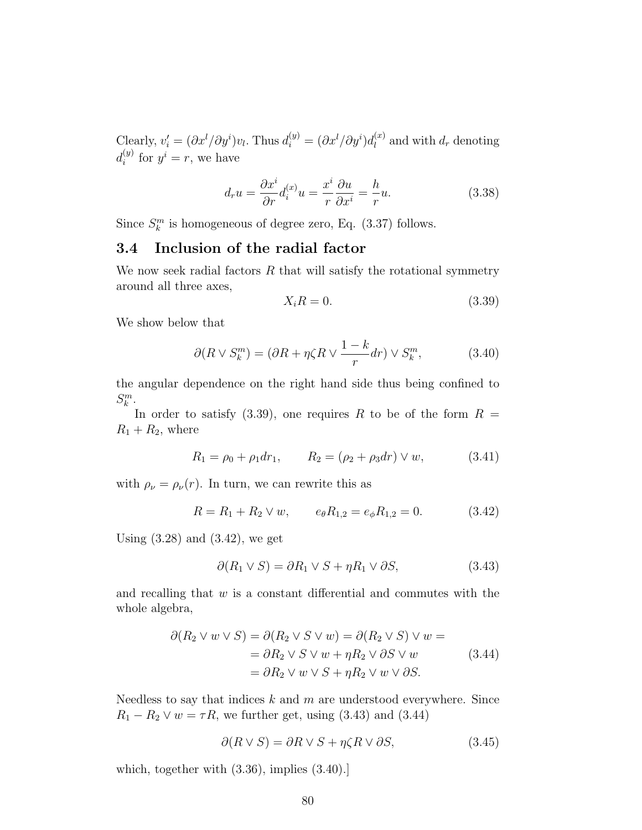Clearly,  $v_i' = (\partial x^l / \partial y^i)v_l$ . Thus  $d_i^{(y)} = (\partial x^l / \partial y^i)d_l^{(x)}$  $\binom{x}{l}$  and with  $d_r$  denoting  $d_i^{(y)}$  $i^{(y)}$  for  $y^i = r$ , we have

$$
d_r u = \frac{\partial x^i}{\partial r} d_i^{(x)} u = \frac{x^i}{r} \frac{\partial u}{\partial x^i} = -\frac{h}{r} u.
$$
 (3.38)

Since  $S_k^m$  is homogeneous of degree zero, Eq. (3.37) follows.

## 3.4 Inclusion of the radial factor

We now seek radial factors  $R$  that will satisfy the rotational symmetry around all three axes,

$$
X_i R = 0.\t\t(3.39)
$$

We show below that

$$
\partial(R \vee S_k^m) = (\partial R + \eta \zeta R \vee \frac{1-k}{r} dr) \vee S_k^m,\tag{3.40}
$$

the angular dependence on the right hand side thus being confined to  $S_k^m$ .

In order to satisfy (3.39), one requires R to be of the form  $R =$  $R_1 + R_2$ , where

$$
R_1 = \rho_0 + \rho_1 dr_1, \qquad R_2 = (\rho_2 + \rho_3 dr) \vee w,\tag{3.41}
$$

with  $\rho_{\nu} = \rho_{\nu}(r)$ . In turn, we can rewrite this as

$$
R = R_1 + R_2 \vee w, \qquad e_{\theta} R_{1,2} = e_{\phi} R_{1,2} = 0. \tag{3.42}
$$

Using  $(3.28)$  and  $(3.42)$ , we get

$$
\partial(R_1 \vee S) = \partial R_1 \vee S + \eta R_1 \vee \partial S,\tag{3.43}
$$

and recalling that  $w$  is a constant differential and commutes with the whole algebra,

$$
\partial(R_2 \vee w \vee S) = \partial(R_2 \vee S \vee w) = \partial(R_2 \vee S) \vee w =
$$
  
=  $\partial R_2 \vee S \vee w + \eta R_2 \vee \partial S \vee w$  (3.44)  
=  $\partial R_2 \vee w \vee S + \eta R_2 \vee w \vee \partial S$ .

Needless to say that indices  $k$  and  $m$  are understood everywhere. Since  $R_1 - R_2 \vee w = \tau R$ , we further get, using (3.43) and (3.44)

$$
\partial(R \vee S) = \partial R \vee S + \eta \zeta R \vee \partial S, \tag{3.45}
$$

which, together with (3.36), implies (3.40).]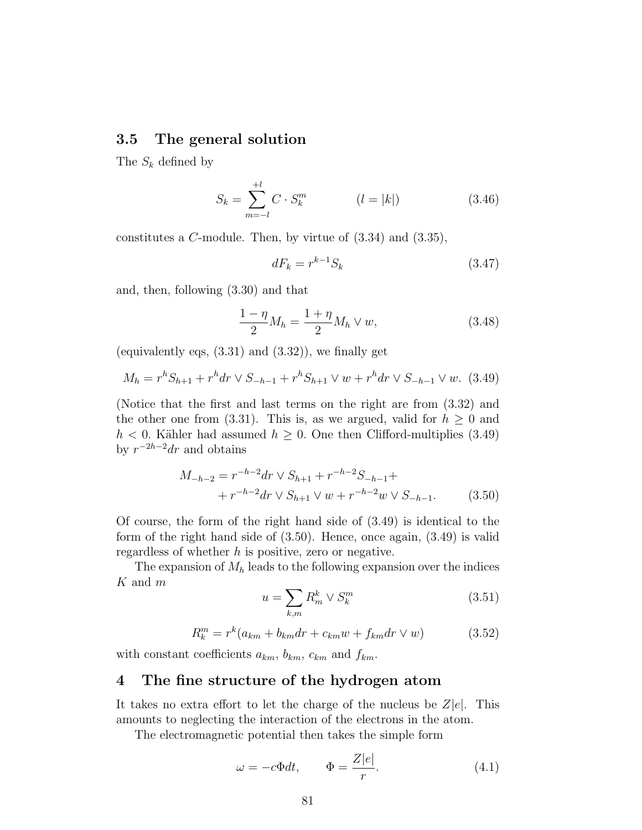#### 3.5 The general solution

The  $S_k$  defined by

$$
S_k = \sum_{m=-l}^{+l} C \cdot S_k^m \qquad (l = |k|) \qquad (3.46)
$$

constitutes a C-module. Then, by virtue of (3.34) and (3.35),

$$
dF_k = r^{k-1} S_k \tag{3.47}
$$

and, then, following (3.30) and that

$$
\frac{1-\eta}{2}M_h = \frac{1+\eta}{2}M_h \vee w,\tag{3.48}
$$

(equivalently eqs,  $(3.31)$  and  $(3.32)$ ), we finally get

$$
M_h = r^h S_{h+1} + r^h dr \vee S_{-h-1} + r^h S_{h+1} \vee w + r^h dr \vee S_{-h-1} \vee w. \tag{3.49}
$$

(Notice that the first and last terms on the right are from (3.32) and the other one from (3.31). This is, as we argued, valid for  $h \geq 0$  and  $h < 0$ . Kähler had assumed  $h \geq 0$ . One then Clifford-multiplies (3.49) by  $r^{-2h-2}dr$  and obtains

$$
M_{-h-2} = r^{-h-2} dr \vee S_{h+1} + r^{-h-2} S_{-h-1} +
$$
  
+ 
$$
r^{-h-2} dr \vee S_{h+1} \vee w + r^{-h-2} w \vee S_{-h-1}.
$$
 (3.50)

Of course, the form of the right hand side of (3.49) is identical to the form of the right hand side of (3.50). Hence, once again, (3.49) is valid regardless of whether  $h$  is positive, zero or negative.

The expansion of  $M_h$  leads to the following expansion over the indices K and m

$$
u = \sum_{k,m} R_m^k \vee S_k^m \tag{3.51}
$$

$$
R_k^m = r^k (a_{km} + b_{km} dr + c_{km} w + f_{km} dr \vee w)
$$
 (3.52)

with constant coefficients  $a_{km}$ ,  $b_{km}$ ,  $c_{km}$  and  $f_{km}$ .

### 4 The fine structure of the hydrogen atom

It takes no extra effort to let the charge of the nucleus be  $Z|e|$ . This amounts to neglecting the interaction of the electrons in the atom.

The electromagnetic potential then takes the simple form

$$
\omega = -c\Phi dt, \qquad \Phi = \frac{Z|e|}{r}.
$$
\n(4.1)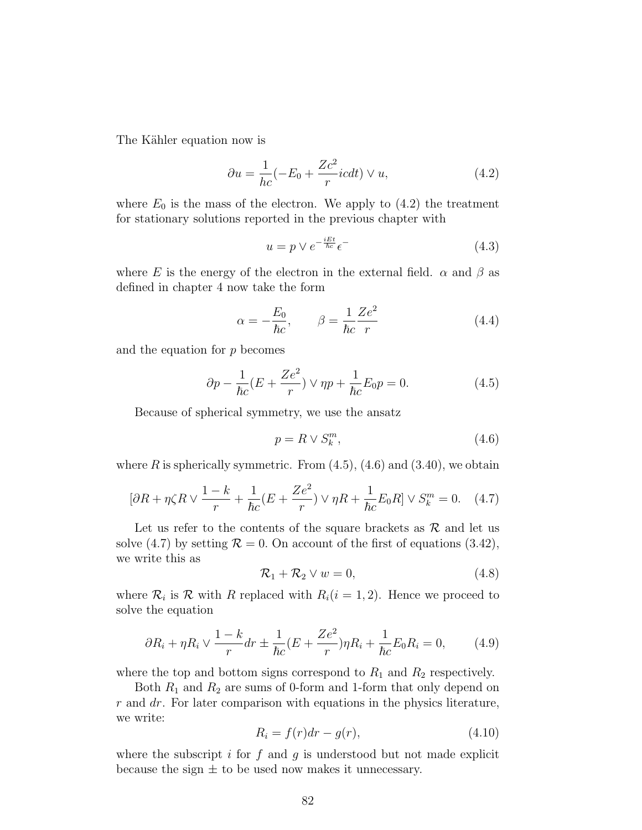The Kähler equation now is

$$
\partial u = \frac{1}{hc}(-E_0 + \frac{Zc^2}{r}icdt) \vee u,\tag{4.2}
$$

where  $E_0$  is the mass of the electron. We apply to  $(4.2)$  the treatment for stationary solutions reported in the previous chapter with

$$
u = p \vee e^{-\frac{iEt}{\hbar c}} \epsilon^{-}
$$
\n
$$
(4.3)
$$

where E is the energy of the electron in the external field.  $\alpha$  and  $\beta$  as defined in chapter 4 now take the form

$$
\alpha = -\frac{E_0}{\hbar c}, \qquad \beta = \frac{1}{\hbar c} \frac{Ze^2}{r}
$$
\n(4.4)

and the equation for  $p$  becomes

$$
\partial p - \frac{1}{\hbar c} (E + \frac{Ze^2}{r}) \vee \eta p + \frac{1}{\hbar c} E_0 p = 0.
$$
 (4.5)

Because of spherical symmetry, we use the ansatz

$$
p = R \vee S_k^m,\tag{4.6}
$$

where R is spherically symmetric. From  $(4.5)$ ,  $(4.6)$  and  $(3.40)$ , we obtain

$$
[\partial R + \eta \zeta R \vee \frac{1 - k}{r} + \frac{1}{\hbar c} (E + \frac{Ze^2}{r}) \vee \eta R + \frac{1}{\hbar c} E_0 R] \vee S_k^m = 0. \quad (4.7)
$$

Let us refer to the contents of the square brackets as  $\mathcal{R}$  and let us solve (4.7) by setting  $\mathcal{R} = 0$ . On account of the first of equations (3.42), we write this as

$$
\mathcal{R}_1 + \mathcal{R}_2 \vee w = 0,\tag{4.8}
$$

where  $\mathcal{R}_i$  is  $\mathcal{R}$  with R replaced with  $R_i(i = 1, 2)$ . Hence we proceed to solve the equation

$$
\partial R_i + \eta R_i \vee \frac{1 - k}{r} dr \pm \frac{1}{\hbar c} (E + \frac{Ze^2}{r}) \eta R_i + \frac{1}{\hbar c} E_0 R_i = 0, \qquad (4.9)
$$

where the top and bottom signs correspond to  $R_1$  and  $R_2$  respectively.

Both  $R_1$  and  $R_2$  are sums of 0-form and 1-form that only depend on  $r$  and  $dr$ . For later comparison with equations in the physics literature, we write:

$$
R_i = f(r)dr - g(r),\tag{4.10}
$$

where the subscript  $i$  for  $f$  and  $g$  is understood but not made explicit because the sign  $\pm$  to be used now makes it unnecessary.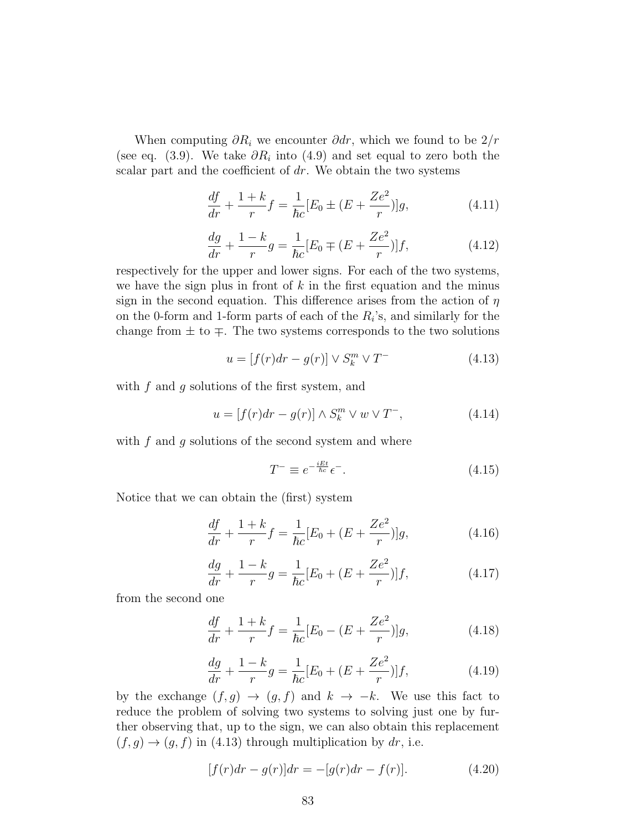When computing  $\partial R_i$  we encounter  $\partial dr$ , which we found to be  $2/r$ (see eq. (3.9). We take  $\partial R_i$  into (4.9) and set equal to zero both the scalar part and the coefficient of  $dr$ . We obtain the two systems

$$
\frac{df}{dr} + \frac{1+k}{r}f = \frac{1}{\hbar c}[E_0 \pm (E + \frac{Ze^2}{r})]g,\tag{4.11}
$$

$$
\frac{dg}{dr} + \frac{1-k}{r}g = \frac{1}{\hbar c}[E_0 \mp (E + \frac{Ze^2}{r})]f,
$$
\n(4.12)

respectively for the upper and lower signs. For each of the two systems, we have the sign plus in front of  $k$  in the first equation and the minus sign in the second equation. This difference arises from the action of  $\eta$ on the 0-form and 1-form parts of each of the  $R_i$ 's, and similarly for the change from  $\pm$  to  $\mp$ . The two systems corresponds to the two solutions

$$
u = [f(r)dr - g(r)] \vee S_k^m \vee T^-
$$
\n(4.13)

with  $f$  and  $g$  solutions of the first system, and

$$
u = [f(r)dr - g(r)] \wedge S_k^m \vee w \vee T^-, \qquad (4.14)
$$

with  $f$  and  $g$  solutions of the second system and where

$$
T^{-} \equiv e^{-\frac{iEt}{\hbar c}} \epsilon^{-}.
$$
\n(4.15)

Notice that we can obtain the (first) system

$$
\frac{df}{dr} + \frac{1+k}{r}f = \frac{1}{\hbar c}[E_0 + (E + \frac{Ze^2}{r})]g,\tag{4.16}
$$

$$
\frac{dg}{dr} + \frac{1-k}{r}g = \frac{1}{\hbar c}[E_0 + (E + \frac{Ze^2}{r})]f,
$$
\n(4.17)

from the second one

$$
\frac{df}{dr} + \frac{1+k}{r}f = \frac{1}{\hbar c}[E_0 - (E + \frac{Ze^2}{r})]g,\tag{4.18}
$$

$$
\frac{dg}{dr} + \frac{1-k}{r}g = \frac{1}{\hbar c}[E_0 + (E + \frac{Ze^2}{r})]f,
$$
\n(4.19)

by the exchange  $(f, g) \rightarrow (g, f)$  and  $k \rightarrow -k$ . We use this fact to reduce the problem of solving two systems to solving just one by further observing that, up to the sign, we can also obtain this replacement  $(f, g) \rightarrow (g, f)$  in (4.13) through multiplication by dr, i.e.

$$
[f(r)dr - g(r)]dr = -[g(r)dr - f(r)].
$$
\n(4.20)